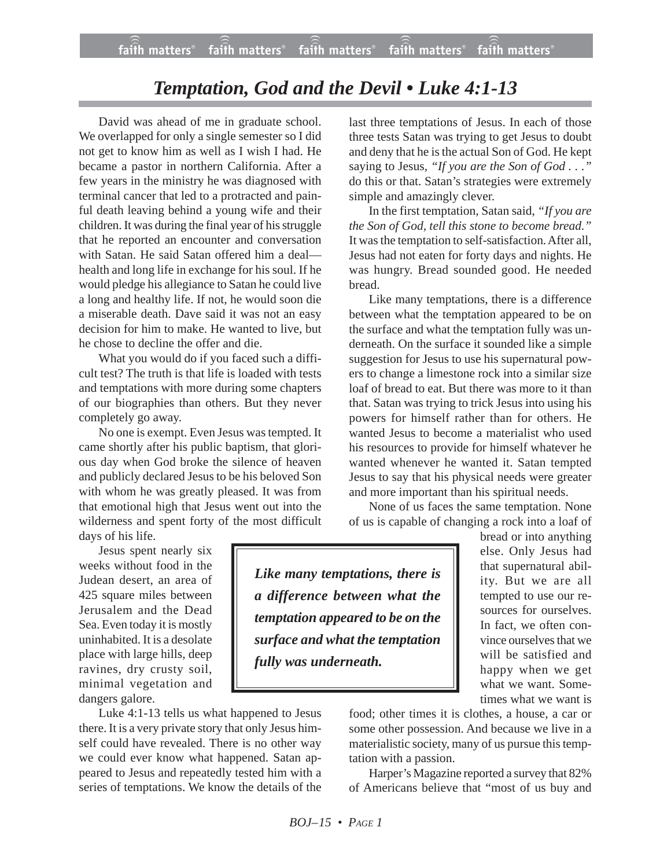## *Temptation, God and the Devil • Luke 4:1-13*

David was ahead of me in graduate school. We overlapped for only a single semester so I did not get to know him as well as I wish I had. He became a pastor in northern California. After a few years in the ministry he was diagnosed with terminal cancer that led to a protracted and painful death leaving behind a young wife and their children. It was during the final year of his struggle that he reported an encounter and conversation with Satan. He said Satan offered him a deal health and long life in exchange for his soul. If he would pledge his allegiance to Satan he could live a long and healthy life. If not, he would soon die a miserable death. Dave said it was not an easy decision for him to make. He wanted to live, but he chose to decline the offer and die.

What you would do if you faced such a difficult test? The truth is that life is loaded with tests and temptations with more during some chapters of our biographies than others. But they never completely go away.

No one is exempt. Even Jesus was tempted. It came shortly after his public baptism, that glorious day when God broke the silence of heaven and publicly declared Jesus to be his beloved Son with whom he was greatly pleased. It was from that emotional high that Jesus went out into the wilderness and spent forty of the most difficult days of his life.

Jesus spent nearly six weeks without food in the Judean desert, an area of 425 square miles between Jerusalem and the Dead Sea. Even today it is mostly uninhabited. It is a desolate place with large hills, deep ravines, dry crusty soil, minimal vegetation and dangers galore.

Luke 4:1-13 tells us what happened to Jesus there. It is a very private story that only Jesus himself could have revealed. There is no other way we could ever know what happened. Satan appeared to Jesus and repeatedly tested him with a series of temptations. We know the details of the

last three temptations of Jesus. In each of those three tests Satan was trying to get Jesus to doubt and deny that he is the actual Son of God. He kept saying to Jesus, *"If you are the Son of God . . ."* do this or that. Satan's strategies were extremely simple and amazingly clever.

In the first temptation, Satan said, *"If you are the Son of God, tell this stone to become bread."* It was the temptation to self-satisfaction. After all, Jesus had not eaten for forty days and nights. He was hungry. Bread sounded good. He needed bread.

Like many temptations, there is a difference between what the temptation appeared to be on the surface and what the temptation fully was underneath. On the surface it sounded like a simple suggestion for Jesus to use his supernatural powers to change a limestone rock into a similar size loaf of bread to eat. But there was more to it than that. Satan was trying to trick Jesus into using his powers for himself rather than for others. He wanted Jesus to become a materialist who used his resources to provide for himself whatever he wanted whenever he wanted it. Satan tempted Jesus to say that his physical needs were greater and more important than his spiritual needs.

None of us faces the same temptation. None of us is capable of changing a rock into a loaf of

*Like many temptations, there is a difference between what the temptation appeared to be on the surface and what the temptation fully was underneath.*

bread or into anything else. Only Jesus had that supernatural ability. But we are all tempted to use our resources for ourselves. In fact, we often convince ourselves that we will be satisfied and happy when we get what we want. Sometimes what we want is

food; other times it is clothes, a house, a car or some other possession. And because we live in a materialistic society, many of us pursue this temptation with a passion.

Harper's Magazine reported a survey that 82% of Americans believe that "most of us buy and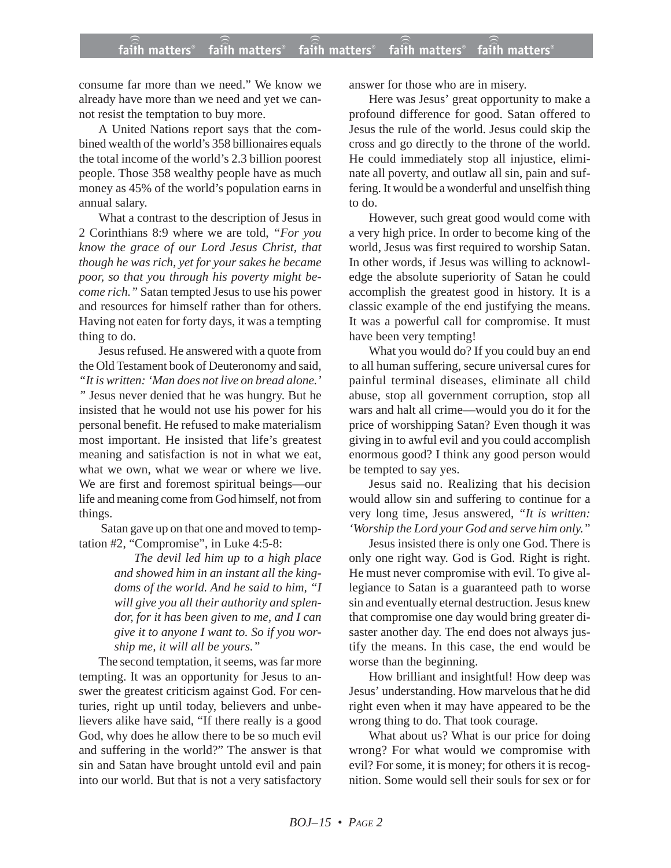## **faith matters® faith matters® faith matters® faith matters® faith matters®** ))) ))) faith matters® faith matters<sup>®</sup> faith matters

consume far more than we need." We know we already have more than we need and yet we cannot resist the temptation to buy more.

A United Nations report says that the combined wealth of the world's 358 billionaires equals the total income of the world's 2.3 billion poorest people. Those 358 wealthy people have as much money as 45% of the world's population earns in annual salary.

What a contrast to the description of Jesus in 2 Corinthians 8:9 where we are told, *"For you know the grace of our Lord Jesus Christ, that though he was rich, yet for your sakes he became poor, so that you through his poverty might become rich."* Satan tempted Jesus to use his power and resources for himself rather than for others. Having not eaten for forty days, it was a tempting thing to do.

Jesus refused. He answered with a quote from the Old Testament book of Deuteronomy and said, *"It is written: 'Man does not live on bread alone.' "* Jesus never denied that he was hungry. But he insisted that he would not use his power for his personal benefit. He refused to make materialism most important. He insisted that life's greatest meaning and satisfaction is not in what we eat, what we own, what we wear or where we live. We are first and foremost spiritual beings—our life and meaning come from God himself, not from things.

Satan gave up on that one and moved to temptation #2, "Compromise", in Luke 4:5-8:

> *The devil led him up to a high place and showed him in an instant all the kingdoms of the world. And he said to him, "I will give you all their authority and splendor, for it has been given to me, and I can give it to anyone I want to. So if you worship me, it will all be yours."*

The second temptation, it seems, was far more tempting. It was an opportunity for Jesus to answer the greatest criticism against God. For centuries, right up until today, believers and unbelievers alike have said, "If there really is a good God, why does he allow there to be so much evil and suffering in the world?" The answer is that sin and Satan have brought untold evil and pain into our world. But that is not a very satisfactory answer for those who are in misery.

Here was Jesus' great opportunity to make a profound difference for good. Satan offered to Jesus the rule of the world. Jesus could skip the cross and go directly to the throne of the world. He could immediately stop all injustice, eliminate all poverty, and outlaw all sin, pain and suffering. It would be a wonderful and unselfish thing to do.

However, such great good would come with a very high price. In order to become king of the world, Jesus was first required to worship Satan. In other words, if Jesus was willing to acknowledge the absolute superiority of Satan he could accomplish the greatest good in history. It is a classic example of the end justifying the means. It was a powerful call for compromise. It must have been very tempting!

What you would do? If you could buy an end to all human suffering, secure universal cures for painful terminal diseases, eliminate all child abuse, stop all government corruption, stop all wars and halt all crime—would you do it for the price of worshipping Satan? Even though it was giving in to awful evil and you could accomplish enormous good? I think any good person would be tempted to say yes.

Jesus said no. Realizing that his decision would allow sin and suffering to continue for a very long time, Jesus answered, *"It is written: 'Worship the Lord your God and serve him only."*

Jesus insisted there is only one God. There is only one right way. God is God. Right is right. He must never compromise with evil. To give allegiance to Satan is a guaranteed path to worse sin and eventually eternal destruction. Jesus knew that compromise one day would bring greater disaster another day. The end does not always justify the means. In this case, the end would be worse than the beginning.

How brilliant and insightful! How deep was Jesus' understanding. How marvelous that he did right even when it may have appeared to be the wrong thing to do. That took courage.

What about us? What is our price for doing wrong? For what would we compromise with evil? For some, it is money; for others it is recognition. Some would sell their souls for sex or for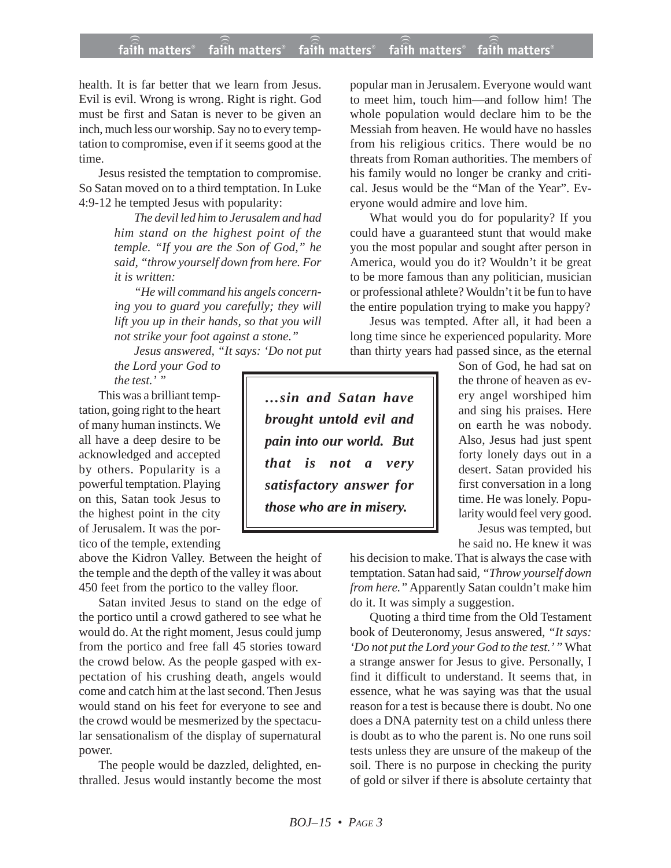## **faith matters® faith matters® faith matters® faith matters® faith matters®** ))) ))) ))) faith matters® faith matters<sup>®</sup>

health. It is far better that we learn from Jesus. Evil is evil. Wrong is wrong. Right is right. God must be first and Satan is never to be given an inch, much less our worship. Say no to every temptation to compromise, even if it seems good at the time.

Jesus resisted the temptation to compromise. So Satan moved on to a third temptation. In Luke 4:9-12 he tempted Jesus with popularity:

> *The devil led him to Jerusalem and had him stand on the highest point of the temple. "If you are the Son of God," he said, "throw yourself down from here. For it is written:*

> *"He will command his angels concerning you to guard you carefully; they will lift you up in their hands, so that you will not strike your foot against a stone."*

*Jesus answered, "It says: 'Do not put*

*the Lord your God to the test.' "*

This was a brilliant temptation, going right to the heart of many human instincts. We all have a deep desire to be acknowledged and accepted by others. Popularity is a powerful temptation. Playing on this, Satan took Jesus to the highest point in the city of Jerusalem. It was the portico of the temple, extending

above the Kidron Valley. Between the height of the temple and the depth of the valley it was about 450 feet from the portico to the valley floor.

Satan invited Jesus to stand on the edge of the portico until a crowd gathered to see what he would do. At the right moment, Jesus could jump from the portico and free fall 45 stories toward the crowd below. As the people gasped with expectation of his crushing death, angels would come and catch him at the last second. Then Jesus would stand on his feet for everyone to see and the crowd would be mesmerized by the spectacular sensationalism of the display of supernatural power.

The people would be dazzled, delighted, enthralled. Jesus would instantly become the most

popular man in Jerusalem. Everyone would want to meet him, touch him—and follow him! The whole population would declare him to be the Messiah from heaven. He would have no hassles from his religious critics. There would be no threats from Roman authorities. The members of his family would no longer be cranky and critical. Jesus would be the "Man of the Year". Everyone would admire and love him.

What would you do for popularity? If you could have a guaranteed stunt that would make you the most popular and sought after person in America, would you do it? Wouldn't it be great to be more famous than any politician, musician or professional athlete? Wouldn't it be fun to have the entire population trying to make you happy?

Jesus was tempted. After all, it had been a long time since he experienced popularity. More than thirty years had passed since, as the eternal

*…sin and Satan have brought untold evil and pain into our world. But that is not a very satisfactory answer for those who are in misery.*

Son of God, he had sat on the throne of heaven as every angel worshiped him and sing his praises. Here on earth he was nobody. Also, Jesus had just spent forty lonely days out in a desert. Satan provided his first conversation in a long time. He was lonely. Popularity would feel very good. Jesus was tempted, but

he said no. He knew it was

his decision to make. That is always the case with temptation. Satan had said*, "Throw yourself down from here."* Apparently Satan couldn't make him do it. It was simply a suggestion.

Quoting a third time from the Old Testament book of Deuteronomy, Jesus answered, *"It says: 'Do not put the Lord your God to the test.' "* What a strange answer for Jesus to give. Personally, I find it difficult to understand. It seems that, in essence, what he was saying was that the usual reason for a test is because there is doubt. No one does a DNA paternity test on a child unless there is doubt as to who the parent is. No one runs soil tests unless they are unsure of the makeup of the soil. There is no purpose in checking the purity of gold or silver if there is absolute certainty that